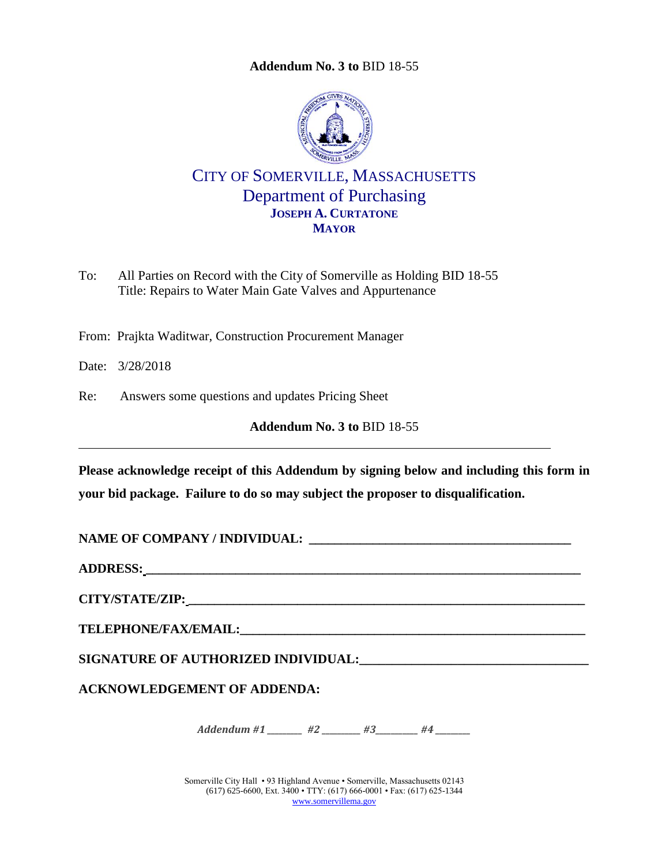<span id="page-0-0"></span>

CITY OF SOMERVILLE, MASSACHUSETTS Department of Purchasing **JOSEPH A. CURTATONE MAYOR**

To: All Parties on Record with the City of Somerville as Holding BID 18-55 Title: Repairs to Water Main Gate Valves and Appurtenance

From: Prajkta Waditwar, Construction Procurement Manager

Date: 3/28/2018

Re: Answers some questions and updates Pricing Sheet

**Addendum No. 3 to** [BID 18-55](#page-0-0)

**Please acknowledge receipt of this Addendum by signing below and including this form in your bid package. Failure to do so may subject the proposer to disqualification.**

**NAME OF COMPANY / INDIVIDUAL: \_\_\_\_\_\_\_\_\_\_\_\_\_\_\_\_\_\_\_\_\_\_\_\_\_\_\_\_\_\_\_\_\_\_\_\_\_\_\_\_\_**

**ADDRESS: \_\_\_\_\_\_\_\_\_\_\_\_\_\_\_\_\_\_\_\_\_\_\_\_\_\_\_\_\_\_\_\_\_\_\_\_\_\_\_\_\_\_\_\_\_\_\_\_\_\_\_\_\_\_\_\_\_\_\_\_\_\_\_\_\_\_\_\_**

**CITY/STATE/ZIP: \_\_\_\_\_\_\_\_\_\_\_\_\_\_\_\_\_\_\_\_\_\_\_\_\_\_\_\_\_\_\_\_\_\_\_\_\_\_\_\_\_\_\_\_\_\_\_\_\_\_\_\_\_\_\_\_\_\_\_\_\_\_**

 $\bf{TELEPHONE/FAX/EMAIL:}$ 

**SIGNATURE OF AUTHORIZED INDIVIDUAL:\_\_\_\_\_\_\_\_\_\_\_\_\_\_\_\_\_\_\_\_\_\_\_\_\_\_\_\_\_\_\_\_\_\_\_**

**ACKNOWLEDGEMENT OF ADDENDA:**

*Addendum #1 \_\_\_\_\_\_\_ #2 \_\_\_\_\_\_ #3 \_\_\_\_\_\_ #4* \_\_\_\_\_

Somerville City Hall • 93 Highland Avenue • Somerville, Massachusetts 02143 (617) 625-6600, Ext. 3400 • TTY: (617) 666-0001 • Fax: (617) 625-1344 [www.somervillema.gov](http://www.somervillema.gov/)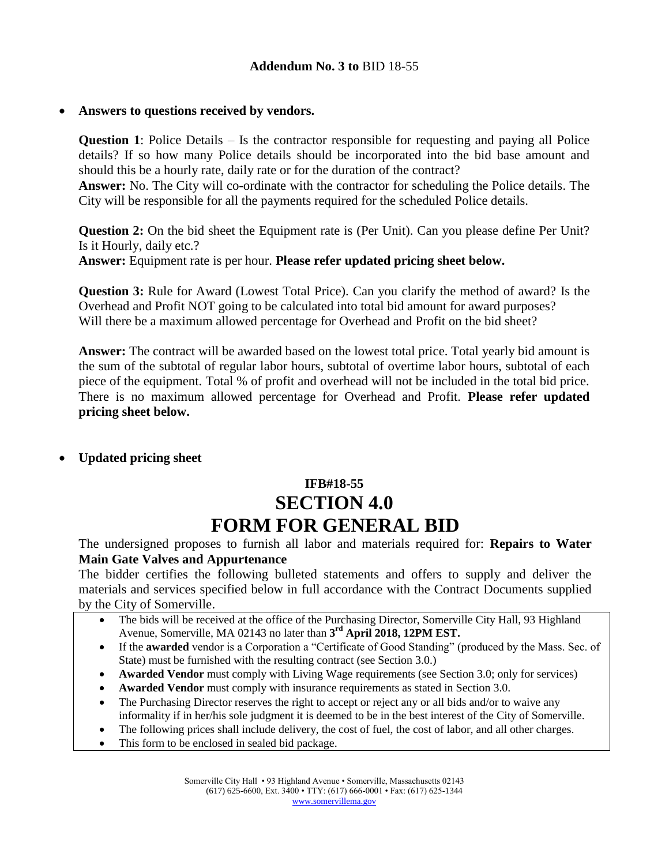### **Answers to questions received by vendors.**

**Question 1**: Police Details – Is the contractor responsible for requesting and paying all Police details? If so how many Police details should be incorporated into the bid base amount and should this be a hourly rate, daily rate or for the duration of the contract?

**Answer:** No. The City will co-ordinate with the contractor for scheduling the Police details. The City will be responsible for all the payments required for the scheduled Police details.

**Question 2:** On the bid sheet the Equipment rate is (Per Unit). Can you please define Per Unit? Is it Hourly, daily etc.?

**Answer:** Equipment rate is per hour. **Please refer updated pricing sheet below.**

**Question 3:** Rule for Award (Lowest Total Price). Can you clarify the method of award? Is the Overhead and Profit NOT going to be calculated into total bid amount for award purposes? Will there be a maximum allowed percentage for Overhead and Profit on the bid sheet?

**Answer:** The contract will be awarded based on the lowest total price. Total yearly bid amount is the sum of the subtotal of regular labor hours, subtotal of overtime labor hours, subtotal of each piece of the equipment. Total % of profit and overhead will not be included in the total bid price. There is no maximum allowed percentage for Overhead and Profit. **Please refer updated pricing sheet below.**

### **Updated pricing sheet**

# **IFB#18-55 SECTION 4.0 FORM FOR GENERAL BID**

The undersigned proposes to furnish all labor and materials required for: **Repairs to Water Main Gate Valves and Appurtenance**

The bidder certifies the following bulleted statements and offers to supply and deliver the materials and services specified below in full accordance with the Contract Documents supplied by the City of Somerville.

- The bids will be received at the office of the Purchasing Director, Somerville City Hall, 93 Highland Avenue, Somerville, MA 02143 no later than **3 rd April 2018, 12PM EST.**
- If the **awarded** vendor is a Corporation a "Certificate of Good Standing" (produced by the Mass. Sec. of State) must be furnished with the resulting contract (see Section 3.0.)
- **Awarded Vendor** must comply with Living Wage requirements (see Section 3.0; only for services)
- **Awarded Vendor** must comply with insurance requirements as stated in Section 3.0.
- The Purchasing Director reserves the right to accept or reject any or all bids and/or to waive any informality if in her/his sole judgment it is deemed to be in the best interest of the City of Somerville.
- The following prices shall include delivery, the cost of fuel, the cost of labor, and all other charges.
- This form to be enclosed in sealed bid package.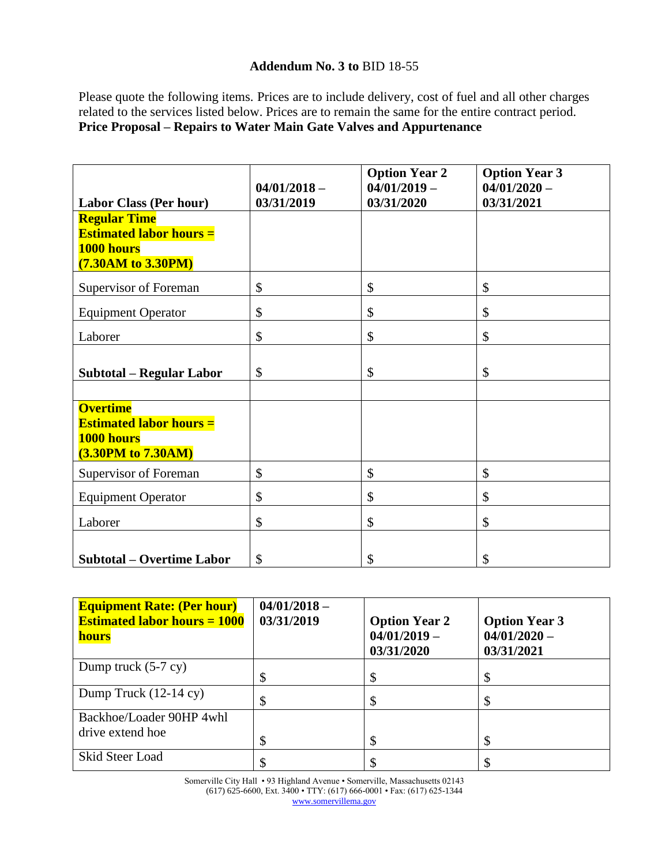Please quote the following items. Prices are to include delivery, cost of fuel and all other charges related to the services listed below. Prices are to remain the same for the entire contract period. **Price Proposal – Repairs to Water Main Gate Valves and Appurtenance**

|                                                                                              | $04/01/2018 -$ | <b>Option Year 2</b><br>$04/01/2019 -$ | <b>Option Year 3</b><br>$04/01/2020 -$ |
|----------------------------------------------------------------------------------------------|----------------|----------------------------------------|----------------------------------------|
| <b>Labor Class (Per hour)</b>                                                                | 03/31/2019     | 03/31/2020                             | 03/31/2021                             |
| <b>Regular Time</b><br><b>Estimated labor hours =</b><br>1000 hours<br>(7.30AM to 3.30PM)    |                |                                        |                                        |
| Supervisor of Foreman                                                                        | \$             | \$                                     | \$                                     |
| <b>Equipment Operator</b>                                                                    | \$             | \$                                     | \$                                     |
| Laborer                                                                                      | \$             | \$                                     | \$                                     |
| <b>Subtotal - Regular Labor</b>                                                              | $\mathcal{S}$  | \$                                     | \$                                     |
| <b>Overtime</b><br><b>Estimated labor hours =</b><br>1000 hours<br><b>(3.30PM to 7.30AM)</b> |                |                                        |                                        |
| Supervisor of Foreman                                                                        | \$             | \$                                     | \$                                     |
| <b>Equipment Operator</b>                                                                    | \$             | \$                                     | \$                                     |
| Laborer                                                                                      | \$             | \$                                     | \$                                     |
| <b>Subtotal – Overtime Labor</b>                                                             | \$             | \$                                     | \$                                     |

| <b>Equipment Rate: (Per hour)</b><br><b>Estimated labor hours = 1000</b><br><b>hours</b> | $04/01/2018 -$<br>03/31/2019 | <b>Option Year 2</b><br>$04/01/2019 -$<br>03/31/2020 | <b>Option Year 3</b><br>$04/01/2020 -$<br>03/31/2021 |
|------------------------------------------------------------------------------------------|------------------------------|------------------------------------------------------|------------------------------------------------------|
| Dump truck $(5-7 \text{ cy})$                                                            | \$                           | \$                                                   |                                                      |
| Dump Truck $(12-14 \text{ cy})$                                                          | \$                           | \$                                                   |                                                      |
| Backhoe/Loader 90HP 4whl<br>drive extend hoe                                             | \$                           | \$                                                   |                                                      |
| Skid Steer Load                                                                          |                              |                                                      |                                                      |

Somerville City Hall • 93 Highland Avenue • Somerville, Massachusetts 02143 (617) 625-6600, Ext. 3400 • TTY: (617) 666-0001 • Fax: (617) 625-1344 [www.somervillema.gov](http://www.somervillema.gov/)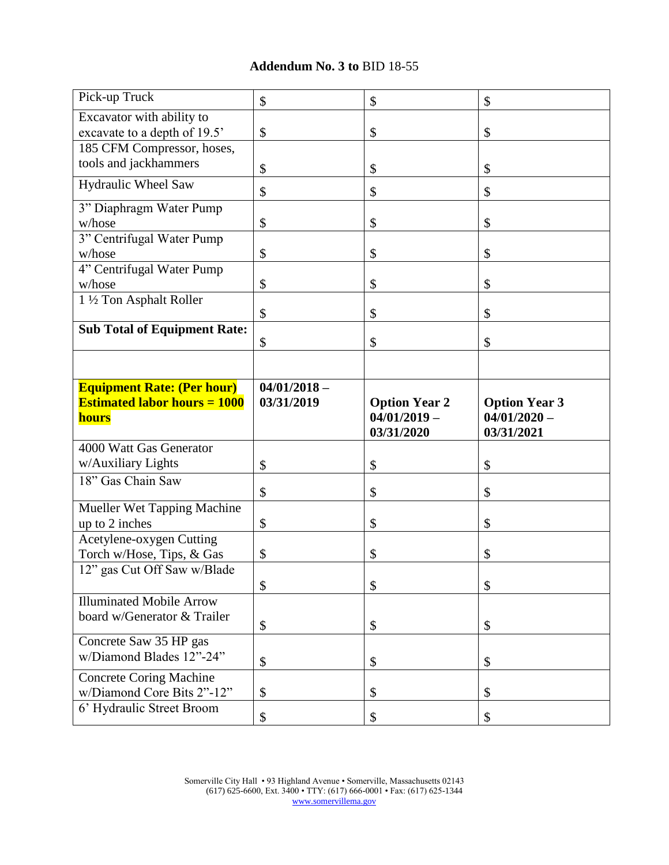| Pick-up Truck                                           | \$             | \$                                     | \$                                     |
|---------------------------------------------------------|----------------|----------------------------------------|----------------------------------------|
| Excavator with ability to                               |                |                                        |                                        |
| excavate to a depth of 19.5'                            | \$             | \$                                     | \$                                     |
| 185 CFM Compressor, hoses,                              |                |                                        |                                        |
| tools and jackhammers                                   |                |                                        |                                        |
|                                                         | \$             | \$                                     | \$                                     |
| Hydraulic Wheel Saw                                     | \$             | \$                                     | \$                                     |
| 3" Diaphragm Water Pump                                 |                |                                        |                                        |
| w/hose                                                  | \$             | \$                                     | \$                                     |
| 3" Centrifugal Water Pump                               |                |                                        |                                        |
| w/hose                                                  | \$             | \$                                     | \$                                     |
| 4" Centrifugal Water Pump                               |                |                                        |                                        |
| w/hose                                                  | \$             | \$                                     | \$                                     |
| 1 1/2 Ton Asphalt Roller                                |                |                                        |                                        |
|                                                         | \$             | \$                                     | \$                                     |
| <b>Sub Total of Equipment Rate:</b>                     |                |                                        |                                        |
|                                                         | \$             | \$                                     | \$                                     |
|                                                         |                |                                        |                                        |
|                                                         |                |                                        |                                        |
| <b>Equipment Rate: (Per hour)</b>                       | $04/01/2018 -$ |                                        |                                        |
| <b>Estimated labor hours = 1000</b>                     |                |                                        |                                        |
|                                                         | 03/31/2019     |                                        |                                        |
| <b>hours</b>                                            |                | <b>Option Year 2</b><br>$04/01/2019 -$ | <b>Option Year 3</b><br>$04/01/2020 -$ |
|                                                         |                |                                        |                                        |
| 4000 Watt Gas Generator                                 |                | 03/31/2020                             | 03/31/2021                             |
| w/Auxiliary Lights                                      |                |                                        |                                        |
|                                                         | \$             | \$                                     | \$                                     |
| 18" Gas Chain Saw                                       | \$             | \$                                     | \$                                     |
| Mueller Wet Tapping Machine                             |                |                                        |                                        |
| up to 2 inches                                          | \$             | \$                                     | \$                                     |
| Acetylene-oxygen Cutting                                |                |                                        |                                        |
| Torch w/Hose, Tips, & Gas                               | \$             | \$                                     | \$                                     |
| 12" gas Cut Off Saw w/Blade                             |                |                                        |                                        |
|                                                         |                |                                        |                                        |
|                                                         | \$             | \$                                     | \$                                     |
| <b>Illuminated Mobile Arrow</b>                         |                |                                        |                                        |
| board w/Generator & Trailer                             | \$             | \$                                     | \$                                     |
| Concrete Saw 35 HP gas                                  |                |                                        |                                        |
| w/Diamond Blades 12"-24"                                |                |                                        |                                        |
|                                                         | \$             | \$                                     | \$                                     |
| <b>Concrete Coring Machine</b>                          |                |                                        |                                        |
| w/Diamond Core Bits 2"-12"<br>6' Hydraulic Street Broom | \$<br>\$       | \$                                     | \$                                     |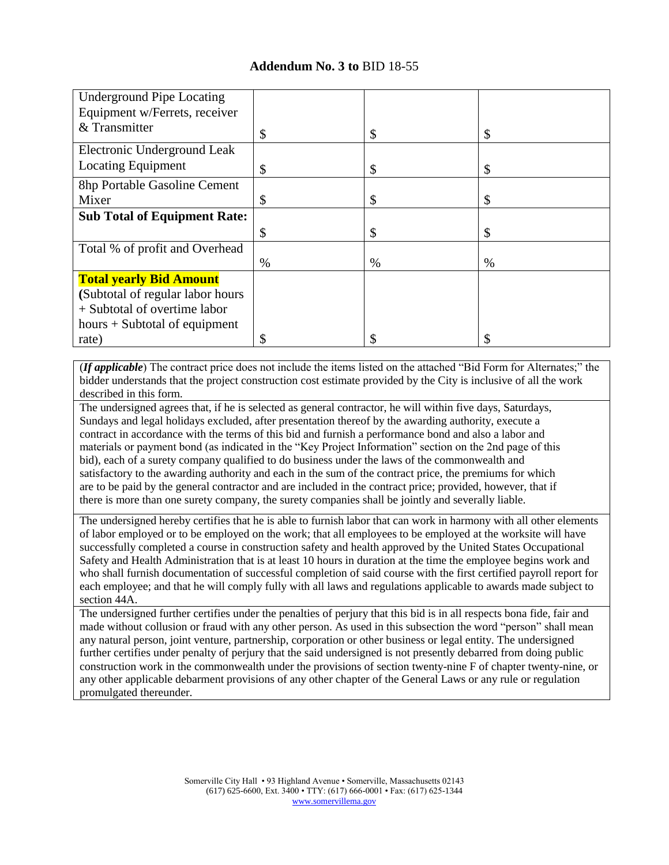| <b>Underground Pipe Locating</b>    |      |      |      |
|-------------------------------------|------|------|------|
| Equipment w/Ferrets, receiver       |      |      |      |
| & Transmitter                       | \$   | \$   | \$   |
| Electronic Underground Leak         |      |      |      |
| <b>Locating Equipment</b>           | \$   | \$   | \$   |
| 8hp Portable Gasoline Cement        |      |      |      |
| Mixer                               | \$   | \$   | \$   |
| <b>Sub Total of Equipment Rate:</b> |      |      |      |
|                                     | \$   | \$   | S    |
| Total % of profit and Overhead      |      |      |      |
|                                     | $\%$ | $\%$ | $\%$ |
| <b>Total yearly Bid Amount</b>      |      |      |      |
| (Subtotal of regular labor hours    |      |      |      |
| + Subtotal of overtime labor        |      |      |      |
| hours $+$ Subtotal of equipment     |      |      |      |
| rate)                               | \$   |      |      |

(*If applicable*) The contract price does not include the items listed on the attached "Bid Form for Alternates;" the bidder understands that the project construction cost estimate provided by the City is inclusive of all the work described in this form.

The undersigned agrees that, if he is selected as general contractor, he will within five days, Saturdays, Sundays and legal holidays excluded, after presentation thereof by the awarding authority, execute a contract in accordance with the terms of this bid and furnish a performance bond and also a labor and materials or payment bond (as indicated in the "Key Project Information" section on the 2nd page of this bid), each of a surety company qualified to do business under the laws of the commonwealth and satisfactory to the awarding authority and each in the sum of the contract price, the premiums for which are to be paid by the general contractor and are included in the contract price; provided, however, that if there is more than one surety company, the surety companies shall be jointly and severally liable.

The undersigned hereby certifies that he is able to furnish labor that can work in harmony with all other elements of labor employed or to be employed on the work; that all employees to be employed at the worksite will have successfully completed a course in construction safety and health approved by the United States Occupational Safety and Health Administration that is at least 10 hours in duration at the time the employee begins work and who shall furnish documentation of successful completion of said course with the first certified payroll report for each employee; and that he will comply fully with all laws and regulations applicable to awards made subject to section 44A.

The undersigned further certifies under the penalties of perjury that this bid is in all respects bona fide, fair and made without collusion or fraud with any other person. As used in this subsection the word "person" shall mean any natural person, joint venture, partnership, corporation or other business or legal entity. The undersigned further certifies under penalty of perjury that the said undersigned is not presently debarred from doing public construction work in the commonwealth under the provisions of section twenty-nine F of chapter twenty-nine, or any other applicable debarment provisions of any other chapter of the General Laws or any rule or regulation promulgated thereunder.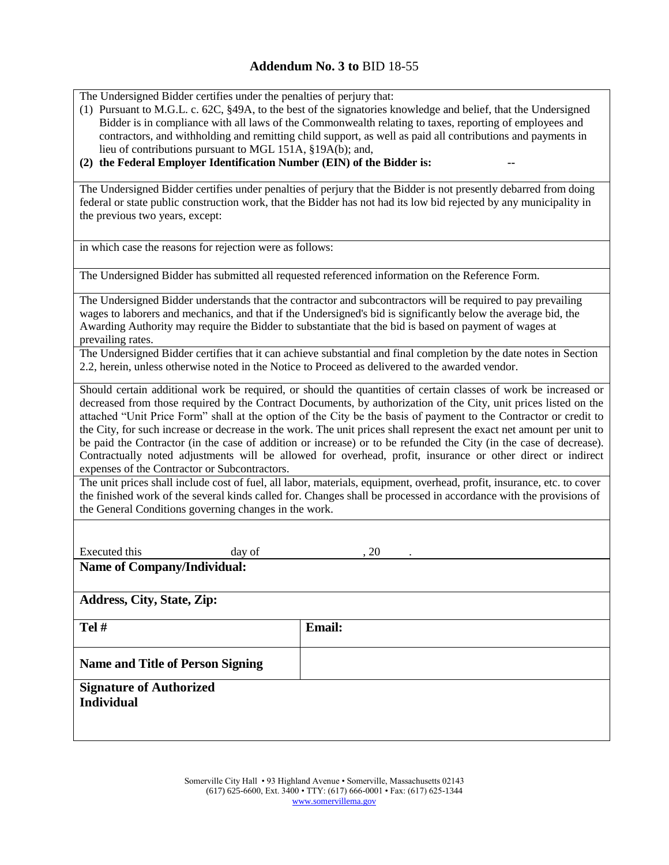The Undersigned Bidder certifies under the penalties of perjury that:

(1) Pursuant to M.G.L. c. 62C, §49A, to the best of the signatories knowledge and belief, that the Undersigned Bidder is in compliance with all laws of the Commonwealth relating to taxes, reporting of employees and contractors, and withholding and remitting child support, as well as paid all contributions and payments in lieu of contributions pursuant to MGL 151A, §19A(b); and,

#### (2) the Federal Employer Identification Number (EIN) of the Bidder is:

The Undersigned Bidder certifies under penalties of perjury that the Bidder is not presently debarred from doing federal or state public construction work, that the Bidder has not had its low bid rejected by any municipality in the previous two years, except:

in which case the reasons for rejection were as follows:

The Undersigned Bidder has submitted all requested referenced information on the Reference Form.

The Undersigned Bidder understands that the contractor and subcontractors will be required to pay prevailing wages to laborers and mechanics, and that if the Undersigned's bid is significantly below the average bid, the Awarding Authority may require the Bidder to substantiate that the bid is based on payment of wages at prevailing rates.

The Undersigned Bidder certifies that it can achieve substantial and final completion by the date notes in Section 2.2, herein, unless otherwise noted in the Notice to Proceed as delivered to the awarded vendor.

Should certain additional work be required, or should the quantities of certain classes of work be increased or decreased from those required by the Contract Documents, by authorization of the City, unit prices listed on the attached "Unit Price Form" shall at the option of the City be the basis of payment to the Contractor or credit to the City, for such increase or decrease in the work. The unit prices shall represent the exact net amount per unit to be paid the Contractor (in the case of addition or increase) or to be refunded the City (in the case of decrease). Contractually noted adjustments will be allowed for overhead, profit, insurance or other direct or indirect expenses of the Contractor or Subcontractors.

The unit prices shall include cost of fuel, all labor, materials, equipment, overhead, profit, insurance, etc. to cover the finished work of the several kinds called for. Changes shall be processed in accordance with the provisions of the General Conditions governing changes in the work.

Executed this day of the case of the secure of  $\alpha$  . 20

**Name of Company/Individual:**

**Address, City, State, Zip:**

| $Tel \#$                                            | <b>Email:</b> |
|-----------------------------------------------------|---------------|
| <b>Name and Title of Person Signing</b>             |               |
| <b>Signature of Authorized</b><br><b>Individual</b> |               |